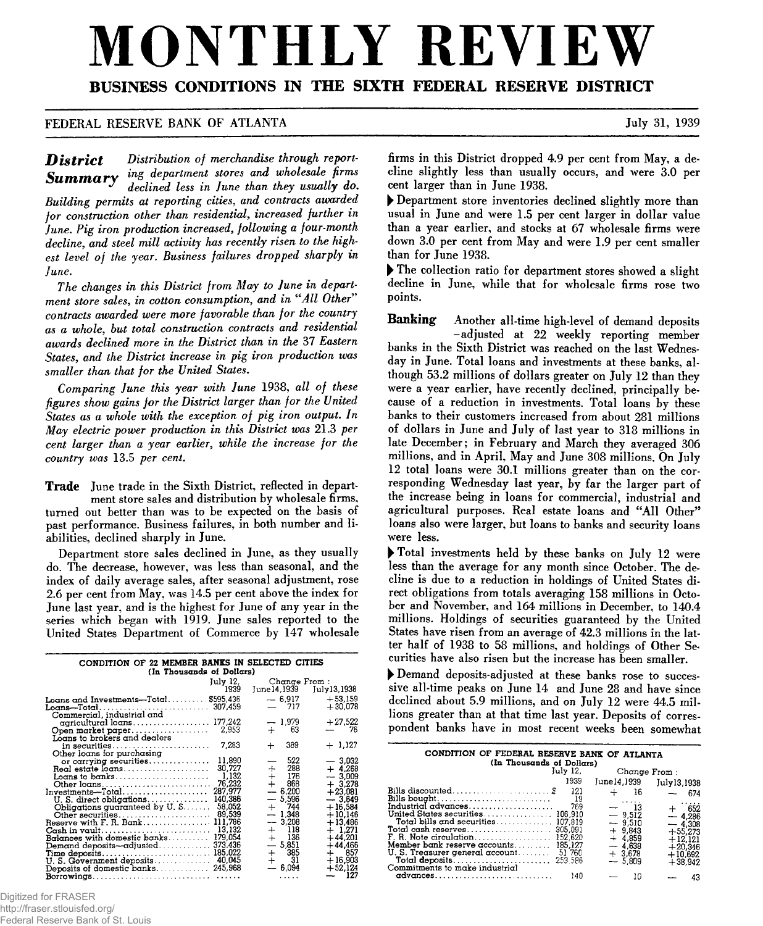# MONTHLY REVIEV

# **BUSINESS CONDITIONS IN THE SIXTH FEDERAL RESERVE DISTRICT**

## **FEDERAL RESERVE BANK OF ATLANTA** July 31, 1939

**District** Distribution of merchandise through report-**Summary** ing department stores and wholesale firms *\* declined less in June than they usually do***.** *Building permits at reporting cities***,** *and contracts awarded for construction other than residential***,** *increased further in June. Pig iron production increased***,** *following a four-month decline***,** *and steel mill activity has recently risen to the highest level of the year. Business failures dropped sharply in June.*

*The changes in this District from May to June in department store sales***,** *in cotton consumption***,** *and in "All Other* **'** *contracts awarded were more favorable than for the country as a whole***,** *but total construction contracts and residential awards declined more in the District than in the* **37** *Eastern States***,** *and the District increase in pig iron production was smaller than that for the United States***.**

*Comparing June this year with June* **1938,** *all of these figures show gains for the District larger than for the United States as a whole with the exception of pig iron output. In May electric power production in this District was* **21.3** *per cent larger than a year earlier***,** *while the increase for the country was* **13.5** *per cent.*

**Trade June trade in the Sixth District, reflected in department store sales and distribution by wholesale firms, turned out better than was to be expected on the basis of past performance. Business failures, in both number and liabilities, declined sharply in June.**

**Department store sales declined in June, as they usually do. TTie decrease, however, was less than seasonal, and the index of daily average sales, after seasonal adjustment, rose 2.6 per cent from May, was 14.5 per cent above the index for June last year, and is the highest for June of any year in the series which began with 1919. June sales reported to the United States Department of Commerce by 147 wholesale**

| CONDITION OF 22 MEMBER BANKS IN SELECTED CITIES<br>(In Thousands of Dollars) |                       |                |
|------------------------------------------------------------------------------|-----------------------|----------------|
| July 12,                                                                     | Change From :         |                |
| 1939                                                                         | June14,1939           | July13,1938    |
|                                                                              |                       | $+53.159$      |
| Loans and Investments—Total\$595,436                                         | $-6.917$<br>$-717$    |                |
|                                                                              |                       | $+30.078$      |
| Commercial, industrial and                                                   |                       |                |
| agricultural loans 177,242                                                   | $-1.979$              | $+27,522$      |
|                                                                              | 63<br>$+$ $-$         | 76             |
| Loans to brokers and dealers                                                 |                       |                |
| 7,283<br>in securities                                                       | 389<br>$\div$         | $+1,127$       |
| Other loans for purchasing                                                   |                       |                |
| 11,890<br>or carrying securities                                             | 522                   | 3,032          |
| 30.727                                                                       | 288<br>$+$            | $+4.268$       |
| 1,132<br>Loans to banks                                                      | $\frac{1}{+}$<br>-176 | $-3,009$       |
| 76,232                                                                       | 868                   | $+3.278$       |
| 287,977<br>Investments-Total                                                 | $-6,200$              | $+23,081$      |
| 140,386<br>U.S. direct obligations                                           | $-5,596$              | $-3.649$       |
| 58,052<br>Obligations guaranteed by $U, S, \ldots,$                          | $+ 744$               | $+16,584$      |
| 89,539                                                                       | $-1.348$              | $+10,146$      |
| Reserve with F. R. Bank<br>111,786                                           | $-3,208$              | $+13,486$      |
| 13,132<br>$\cosh$ in vault                                                   | $+$ 118               | $+$ 1.271 $\,$ |
| 179,054<br>Balances with domestic banks                                      | $+$ 136               | $+44,201$      |
| Demand deposits-adjusted 373,436                                             | $-5,851$              | $+$ 44,466     |
| 185,022<br>Time deposits                                                     | $+$ 385               | $+$ 857        |
| U.S. Government deposits 40,045                                              | $+$ 31                | $+16,903$      |
|                                                                              | $-6,094$              | $+52,124$      |
|                                                                              | 1.1.1.1               | — 127          |
|                                                                              |                       |                |

Digitized for FRASER http://fraser.stlouisfed.org/

Federal Reserve Bank of St. Louis

**firms in this District dropped 4.9 per cent from May, a decline slightly less than usually occurs, and were 3.0 per cent larger than in June 1938.**

**► Department store inventories declined slightly more than usual in June and were 1.5 per cent larger in dollar value than a year earlier, and stocks at 67 wholesale firms were down 3.0 per cent from May and were 1.9 per cent smaller than for June 1938.**

**► The collection ratio for department stores showed a slight decline in June, while that for wholesale firms rose two points.**

**Banking Another all-time high-level of demand deposits -adjusted at 22 weekly reporting member banks in the Sixth District was reached on the last Wednesday in June. Total loans and investments at these banks, although 53.2 millions of dollars greater on July 12 than they were a year earlier, have recently declined, principally because of a reduction in investments. Total loans by these banks to their customers increased from about 281 millions of dollars in June and July of last year to 318 millions in late December; in February and March they averaged 306 millions, and in April, May and June 308 millions. On July 12 total loans were 30.1 millions greater than on the corresponding Wednesday last year, by far the larger part of the increase being in loans for commercial, industrial and agricultural purposes. Real estate loans and "All Other'9 loans also were larger, but loans to banks and security loans were less.**

**► Total investments held by these banks on July 12 were less than the average for any month since October. The decline is due to a reduction in holdings of United States direct obligations from totals averaging 158 millions in October and November, and 164 millions in December, to 140.4 millions. Holdings of securities guaranteed by the United States have risen from an average of 42.3 millions in the latter half of 1938 to 58 millions, and holdings of Other Securities have also risen but the increase has been smaller.**

**► Demand deposits-adjusted at these banks rose to successive all-time peaks on June 14 and June 28 and have since declined about 5.9 millions, and on July 12 were 44.5 millions greater than at that time last year. Deposits of correspondent banks have in most recent weeks been somewhat**

| CONDITION OF FEDERAL RESERVE BANK OF ATLANTA<br>(In Thousands of Dollars)                                       |             |              |                                           |             |                                     |  |  |
|-----------------------------------------------------------------------------------------------------------------|-------------|--------------|-------------------------------------------|-------------|-------------------------------------|--|--|
|                                                                                                                 | July 12.    | Change From: |                                           |             |                                     |  |  |
|                                                                                                                 | 1939        | June14,1939  |                                           | July13,1938 |                                     |  |  |
|                                                                                                                 | 121<br>- 19 |              | 16                                        |             | 674                                 |  |  |
| Industrial advances<br>Total bills and securities 107,819                                                       | 769         |              | 1.1.1.1<br>$-$ 13<br>$-9.512$<br>$-9.510$ |             | .<br>$+$ 652<br>$-4,286$            |  |  |
| Total cash reserves<br>F. R. Note circulation 152.620                                                           | 305,091     |              | $+9.843$<br>$+4.859$                      |             | $-4.308$<br>$+55.273$<br>$+12.121$  |  |  |
| Member bank reserve accounts 185.127<br>U.S. Treasurer general account 51 760<br>Commitments to make industrial |             |              | $-4.638$<br>$+3.678$<br>$-5.809$          |             | $+20.346$<br>$+10.692$<br>$+38.942$ |  |  |
| $\alpha$ dvances                                                                                                | 140         |              | 10                                        |             | 43                                  |  |  |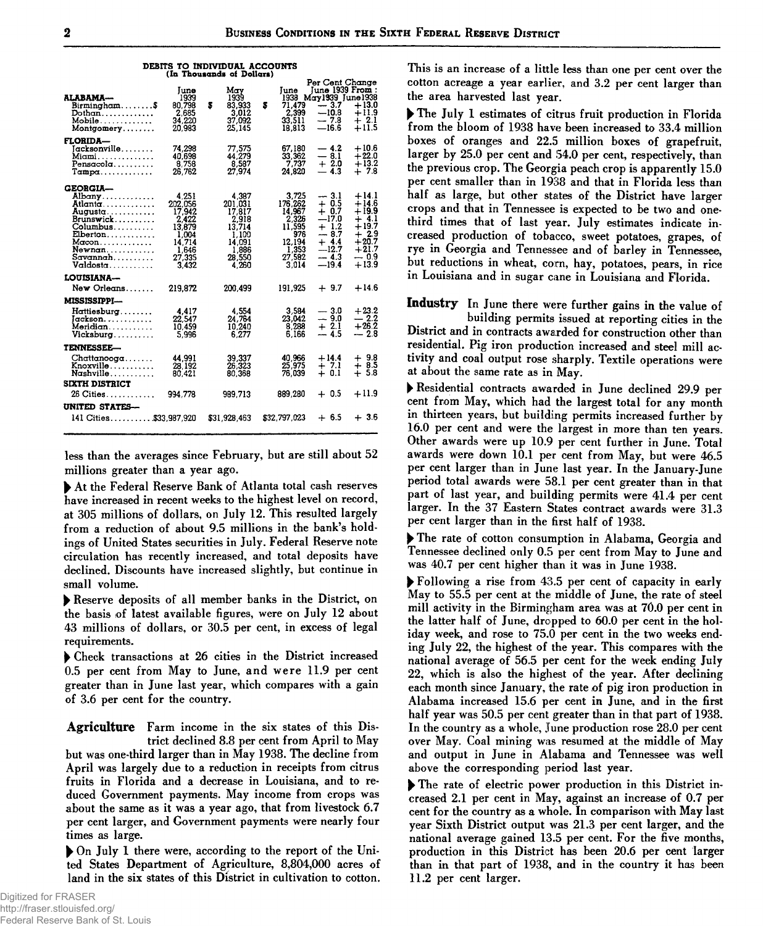| alabama—<br>Birmingham\$<br>Dothan<br>Mobile<br>Montgomery                                                                         | Tune<br>1939<br>80.798<br>2.685<br>34,220<br>20.983                                          | s | May<br>1939<br>83.933<br>3,012<br>37,092<br>25.145                                           | s | June<br>71.479<br>2,399<br>33.511<br>18.813                                                | Per Cent Change<br>June 1939 From:<br>1938 May 1939 June 1938<br>$-3.7$<br>$-10.8$<br>$-7.8$<br>$-16.6$ | $+13.0$<br>$+11.9$<br>$+2.1$<br>$+11.5$                                                                 |  |
|------------------------------------------------------------------------------------------------------------------------------------|----------------------------------------------------------------------------------------------|---|----------------------------------------------------------------------------------------------|---|--------------------------------------------------------------------------------------------|---------------------------------------------------------------------------------------------------------|---------------------------------------------------------------------------------------------------------|--|
| FLORIDA—<br>Iacksonville<br>Miami. <i>.</i><br>Pensacola<br>Tampa                                                                  | 74.298<br>40.698<br>8.758<br>26.762                                                          |   | 77,575<br>44,279<br>8,587<br>27.974                                                          |   | 67,180<br>33,362<br>7,737<br>24.820                                                        | $-4.2$<br>$-8.1$<br>$+2.0$<br>$-4.3$                                                                    | $+10.6$<br>$+22.0$<br>$+13.2$<br>$+7.8$                                                                 |  |
| <b>GEORGIA--</b><br>Albany<br>Atlanta.<br>Augusta.<br>Brunswick<br>Columbus<br>Elberton<br>Macon<br>Newnan<br>Savannah<br>Valdosta | 4.251<br>202.056<br>17,942<br>2,422<br>13,879<br>1.004<br>14.714<br>1.646<br>27.335<br>3,432 |   | 4.387<br>201.031<br>17,817<br>2,918<br>13,714<br>1.100<br>14.091<br>1.886<br>28,550<br>4.260 |   | 3,725<br>176.262<br>14.967<br>2.326<br>11,595<br>976<br>12.194<br>1.353<br>27.582<br>3.014 | $-3.1$<br>$+0.5$<br>$+0.7$<br>$-17.0$<br>$+1.2$<br>$-8.7$<br>$+4.4$<br>$-12.7$<br>$-4.3$<br>$-19.4$     | $+14.1$<br>$+14.6$<br>$+19.9$<br>$+4.1$<br>$+19.7$<br>$+2.9$<br>$+20.7$<br>$+21.7$<br>$-0.9$<br>$+13.9$ |  |
| <b>LOUISIANA—</b>                                                                                                                  |                                                                                              |   |                                                                                              |   |                                                                                            |                                                                                                         |                                                                                                         |  |
| New Orleans                                                                                                                        | 219.872                                                                                      |   | 200,499                                                                                      |   | 191,925                                                                                    | $+9.7$                                                                                                  | $+14.6$                                                                                                 |  |
| MISSISSIPPI---<br>Hattiesburg<br>Jackson.<br>Meridian<br>Vicksburg                                                                 | 4.417<br>22.547<br>10.459<br>5,996                                                           |   | 4,554<br>24.764<br>10,240<br>6,277                                                           |   | 3,584<br>23.042<br>8.288<br>6.166                                                          | $-3.0$<br>$-9.0$<br>$+2.1$<br>$-4.5$                                                                    | $+23.2$<br>$-2.2$<br>$+26.2$<br>$-2.8$                                                                  |  |
| <b>TENNESSEE—</b>                                                                                                                  |                                                                                              |   |                                                                                              |   |                                                                                            |                                                                                                         |                                                                                                         |  |
| Chattanooga<br>Knoxville<br>Nashville                                                                                              | 44.991<br>28.192<br>80,421                                                                   |   | 39,337<br>26.323<br>80.368                                                                   |   | 40,966<br>25.975<br>76,039                                                                 | $+14.4$<br>$+7.1$<br>$+0.1$                                                                             | $+9.8$<br>$+8.5$<br>$+5.8$                                                                              |  |
| <b>SIXTH DISTRICT</b>                                                                                                              |                                                                                              |   |                                                                                              |   |                                                                                            |                                                                                                         |                                                                                                         |  |
| 26 Cities                                                                                                                          | 994,778                                                                                      |   | 989,713                                                                                      |   | 889.280                                                                                    | $+0.5$                                                                                                  | $+11.9$                                                                                                 |  |
| UNITED STATES--                                                                                                                    |                                                                                              |   |                                                                                              |   |                                                                                            |                                                                                                         |                                                                                                         |  |
| 141 Cities \$33,987,920                                                                                                            |                                                                                              |   | \$31,928,463                                                                                 |   | \$32,797,023                                                                               | $+6.5$                                                                                                  | $+3.6$                                                                                                  |  |
|                                                                                                                                    |                                                                                              |   |                                                                                              |   |                                                                                            |                                                                                                         |                                                                                                         |  |

**DEBITS TO INDIVIDUAL ACCOUNTS** 

less than the averages since February, but are still about 52 millions greater than a year ago.

At the Federal Reserve Bank of Atlanta total cash reserves have increased in recent weeks to the highest level on record, at 305 millions of dollars, on July 12. This resulted largely from a reduction of about 9.5 millions in the bank's holdings of United States securities in July. Federal Reserve note circulation has recently increased, and total deposits have declined. Discounts have increased slightly, but continue in small volume.

Reserve deposits of all member banks in the District, on the basis of latest available figures, were on July 12 about 43 millions of dollars, or 30.5 per cent, in excess of legal requirements.

Check transactions at 26 cities in the District increased 0.5 per cent from May to June, and were 11.9 per cent greater than in June last year, which compares with a gain of 3.6 per cent for the country.

**Agriculture** Farm income in the six states of this District declined 8.8 per cent from April to May but was one-third larger than in May 1938. The decline from April was largely due to a reduction in receipts from citrus fruits in Florida and a decrease in Louisiana, and to reduced Government payments. May income from crops was about the same as it was a year ago, that from livestock 6.7 per cent larger, and Government payments were nearly four times as large.

On July 1 there were, according to the report of the United States Department of Agriculture, 8,804,000 acres of land in the six states of this District in cultivation to cotton.

This is an increase of a little less than one per cent over the cotton acreage a year earlier, and 3.2 per cent larger than the area harvested last year.

The July 1 estimates of citrus fruit production in Florida from the bloom of 1938 have been increased to 33.4 million boxes of oranges and 22.5 million boxes of grapefruit, larger by 25.0 per cent and 54.0 per cent, respectively, than the previous crop. The Georgia peach crop is apparently 15.0 per cent smaller than in 1938 and that in Florida less than half as large, but other states of the District have larger crops and that in Tennessee is expected to be two and onethird times that of last year. July estimates indicate increased production of tobacco, sweet potatoes, grapes, of rye in Georgia and Tennessee and of barley in Tennessee, but reductions in wheat, corn, hay, potatoes, pears, in rice in Louisiana and in sugar cane in Louisiana and Florida.

Industry In June there were further gains in the value of

building permits issued at reporting cities in the District and in contracts awarded for construction other than residential. Pig iron production increased and steel mill activity and coal output rose sharply. Textile operations were at about the same rate as in May.

Residential contracts awarded in June declined 29.9 per cent from May, which had the largest total for any month in thirteen years, but building permits increased further by 16.0 per cent and were the largest in more than ten years. Other awards were up 10.9 per cent further in June. Total awards were down 10.1 per cent from May, but were 46.5 per cent larger than in June last year. In the January-June period total awards were 58.1 per cent greater than in that part of last year, and building permits were 41.4 per cent larger. In the 37 Eastern States contract awards were 31.3 per cent larger than in the first half of 1938.

The rate of cotton consumption in Alabama, Georgia and Tennessee declined only 0.5 per cent from May to June and was 40.7 per cent higher than it was in June 1938.

> Following a rise from 43.5 per cent of capacity in early May to 55.5 per cent at the middle of June, the rate of steel mill activity in the Birmingham area was at 70.0 per cent in the latter half of June, dropped to 60.0 per cent in the holiday week, and rose to 75.0 per cent in the two weeks ending July 22, the highest of the year. This compares with the national average of 56.5 per cent for the week ending July 22, which is also the highest of the year. After declining each month since January, the rate of pig iron production in Alabama increased 15.6 per cent in June, and in the first half year was 50.5 per cent greater than in that part of 1938. In the country as a whole, June production rose 28.0 per cent over May. Coal mining was resumed at the middle of May and output in June in Alabama and Tennessee was well above the corresponding period last year.

The rate of electric power production in this District increased 2.1 per cent in May, against an increase of 0.7 per cent for the country as a whole. In comparison with May last year Sixth District output was 21.3 per cent larger, and the national average gained 13.5 per cent. For the five months, production in this District has been 20.6 per cent larger than in that part of 1938, and in the country it has been 11.2 per cent larger.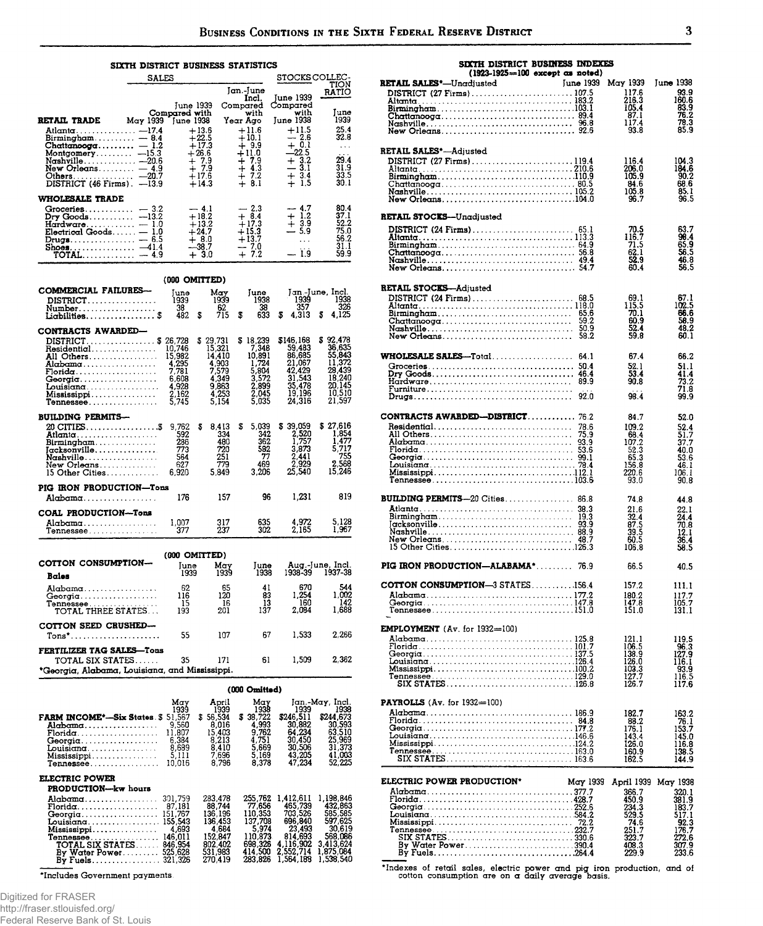#### SIXTH DISTRICT BUSINESS STATISTICS

|                                                                                                                                                                               | SALES  |                                                                                    |                                                                                | STOCKS COLLEC-                                                                  |                                                                |
|-------------------------------------------------------------------------------------------------------------------------------------------------------------------------------|--------|------------------------------------------------------------------------------------|--------------------------------------------------------------------------------|---------------------------------------------------------------------------------|----------------------------------------------------------------|
|                                                                                                                                                                               |        | June 1939                                                                          | Jan.-June<br>Incl.<br>Compared                                                 | June 1939<br>Compared                                                           | <b>TION</b><br>RATIO                                           |
|                                                                                                                                                                               |        | Compared with                                                                      | with                                                                           | with                                                                            | June                                                           |
| <b>RETAIL TRADE</b>                                                                                                                                                           |        | May 1939 June 1938                                                                 | Year Ago                                                                       | June 1938                                                                       | 1939                                                           |
| Atlanta - 17.4<br>Birmingham $-8.4$<br>Chattanooga $-1.2$<br>Montgomery $-15.3$<br>New Orleans $-4.9$<br>Others $-20.7$<br>DISTRICT $(46$ Firms). $-13.9$                     |        | $+13.6$<br>$+22.5$<br>$+17.3$<br>$+26.6$<br>$+7.9$<br>$+7.9$<br>$+17.6$<br>$+14.3$ | $+11.6$<br>$+10.1$<br>$+9.9$<br>$+11.0$<br>$+7.9$<br>$+4.3$<br>$+7.2$<br>+ 8.1 | $+11.5$<br>$-2.6$<br>$+ 0.1$<br>$-22.5$<br>$+3.2$<br>$-3.1$<br>$+3.4$<br>$+1.5$ | 25.4<br>32.8<br>.<br>$\cdots$<br>29.4<br>31.9<br>33.5<br>30. I |
| <b>WHOLESALE TRADE</b>                                                                                                                                                        |        |                                                                                    |                                                                                |                                                                                 |                                                                |
| $G$ roceries<br>Dry Goods $-13.2$<br>Hardware $\dots\dots\dots=1.0$<br>$Electrical$ Goods $-1.0$<br>Drugs $-6.5$<br>Shoes $-41.4$<br>$\texttt{TOTAL} \dots \dots \dots - 4.9$ | $-3.2$ | $-4.1$<br>$+18.2$<br>$+13.2$<br>$+24.7$<br>$+8.0$<br>$-38.7$<br>$+3.0$             | $-2.3$<br>$+8.4$<br>$+17.3$<br>$+15.3$<br>$+13.7$<br>$-7.0$<br>$+7.2$          | $-4.7$<br>$+1.2$<br>$+3.9$<br>$-5.9$<br>$\sim 100$<br>$\cdots$<br>$-1.9$        | 80.4<br>37.I<br>52.2<br>75.0<br>56.2<br>31.1<br>59.9           |

|                                                                                                                                                           | (000 OMITTED)                                                                    |    |                                                                                    |    |                                                                                   |   |                                                                                           |   |                                                                                          |
|-----------------------------------------------------------------------------------------------------------------------------------------------------------|----------------------------------------------------------------------------------|----|------------------------------------------------------------------------------------|----|-----------------------------------------------------------------------------------|---|-------------------------------------------------------------------------------------------|---|------------------------------------------------------------------------------------------|
| COMMERCIAL FAILURES-<br>DISTRICT<br>Number. <i>.</i><br>Liabilities \$                                                                                    | June<br>1939<br>38.<br>482                                                       | \$ | Mav<br>1939<br>62<br>715                                                           | \$ | Tune<br>1938<br>38<br>633                                                         | s | Jan June, Incl.<br>1939<br>357<br>4,313                                                   | S | 1938<br>326<br>4,125                                                                     |
| CONTRACTS AWARDED-<br>$DISTRICT$ , \$<br>Residential<br>All Others<br>Alabama<br><b>Florida</b><br>Georgia<br>Louisiana<br>$M$ ississippi<br>$T$ ennessee | 26,728<br>10,746<br>15,982<br>4.295<br>7,781<br>6.608<br>4,928<br>2,162<br>5.745 |    | \$29.731<br>15,321<br>14.410<br>4.903<br>7,579<br>4.349<br>9,863<br>4,253<br>5.154 |    | \$18,239<br>7,348<br>10.891<br>1,724<br>5,804<br>3.572<br>2,899<br>2.045<br>5.035 |   | \$146.168<br>59,483<br>86.685<br>21.067<br>42.429<br>31,543<br>35,478<br>19,196<br>24.316 |   | \$92.478<br>36.635<br>55,843<br>11,372<br>28,439<br>18,240<br>20.145<br>10,510<br>21.597 |
| <b>BUILDING PERMITS-</b><br>Birmingham<br>Jacksonville<br>Nashville.<br>New Orleans<br>$15$ Other Cities                                                  | 9,762<br>592<br>286<br>773<br>564<br>627<br>6.920                                | s  | 8.413<br>334<br>480<br>720<br>251<br>779<br>5,849                                  | S  | 5.039<br>342<br>362<br>582<br>77<br>469<br>3.206                                  |   | \$39.059<br>2,520<br>1,757<br>3,873<br>2,441<br>2,929<br>25.540                           |   | \$27,616<br>1.854<br>1.477<br>5,717<br>755<br>2.568<br>15,246                            |
| PIG IRON PRODUCTION-Tons<br>Alabama                                                                                                                       | 176                                                                              |    | 157                                                                                |    | 96                                                                                |   | 1,231                                                                                     |   | 819                                                                                      |
| COAL PRODUCTION-Tons<br>Alabama<br><b>Tennessee</b>                                                                                                       | 1,007<br>377                                                                     |    | 317<br>237                                                                         |    | 635<br>302                                                                        |   | 4,972<br>2.165                                                                            |   | 5,128<br>1.967                                                                           |
| (000 OMITTED)<br>COTTON CONSUMPTION-<br>Aug.-June, Incl.<br>Mav<br>June<br>Iune<br>1938-39<br>1937-38<br>1939<br>1939<br>1938                             |                                                                                  |    |                                                                                    |    |                                                                                   |   |                                                                                           |   |                                                                                          |
| Bales<br>Alabama<br>Georgia<br>Tennessee. <i>.</i><br><b>TOTAL THREE STATES</b>                                                                           | 62<br>116<br>15<br>193                                                           |    | 65<br>120<br>16<br>201                                                             |    | 41<br>83<br>13<br>137                                                             |   | 670<br>1.254<br>160<br>2.084                                                              |   | 544<br>1,002<br>142<br>1.688                                                             |
| COTTON SEED CRUSHED-                                                                                                                                      | 55                                                                               |    | 107                                                                                |    | 67                                                                                |   | 1,533                                                                                     |   | 2.266                                                                                    |
| FERTILIZER TAG SALES-Tons<br>1,509<br>2,362<br>35<br>61<br><b>TOTAL SIX STATES</b><br>171<br>*Georgia, Alabama, Louisiana, and Mississippi.               |                                                                                  |    |                                                                                    |    |                                                                                   |   |                                                                                           |   |                                                                                          |
|                                                                                                                                                           |                                                                                  |    |                                                                                    |    |                                                                                   |   |                                                                                           |   |                                                                                          |

|                                                                                                                                                                                                                                                                                      | <i>ו טטט טעט</i>                                                                             |                                                                                              |                                                                                                        |                                                                                                        |  |  |  |
|--------------------------------------------------------------------------------------------------------------------------------------------------------------------------------------------------------------------------------------------------------------------------------------|----------------------------------------------------------------------------------------------|----------------------------------------------------------------------------------------------|--------------------------------------------------------------------------------------------------------|--------------------------------------------------------------------------------------------------------|--|--|--|
| May<br>1939<br>51,567<br><b>FARM INCOME*-Six States S</b><br>9,560<br>Alabama<br>11,807<br>Florida<br>6.384<br>Georgia. <i>. .</i><br>8.689<br>Louisiana<br>5,111<br>Mississippi<br>10,016<br>Te <b>nnessee</b>                                                                      | April<br>1939<br>56.534<br>S<br>8,016<br>15,403<br>8.213<br>8,410<br>7,696<br>8.796          | May<br>1938<br>38,722<br>s<br>4.993<br>9.762<br>4.751<br>5.669<br>5.169<br>8.378             | 1939<br>\$246.511<br>30.882<br>64,234<br>30,450<br>30.506<br>43,205<br>47.234                          | Jan.-May, Incl.<br>1938<br>\$244,673<br>30,593<br>63,510<br>25,969<br>31.373<br>41.003<br>52.225       |  |  |  |
| <b>ELECTRIC POWER</b><br>PRODUCTION-kw hours                                                                                                                                                                                                                                         |                                                                                              |                                                                                              |                                                                                                        |                                                                                                        |  |  |  |
| 301,759<br>Alabama<br>87.181<br>$\mathbf{Florida} \ldots \ldots \ldots \ldots \ldots$<br>Georgia 151,767<br>Louisiana 155,543<br>4.693<br>Mississippi<br>146,011<br>$T$ ennessee $\dots\dots\dots\dots\dots\dots$<br><b>TOTAL SIX STATES</b><br>846,954<br>525,628<br>By Water Power | 283,478<br>88.744<br>136.196<br>136.453<br>4.684<br>152.847<br>802,402<br>531,983<br>270.419 | 255,762<br>77.656<br>110.353<br>137,708<br>5.974<br>110.873<br>698.326<br>414,500<br>283.826 | 1,412,611<br>465,739<br>703.526<br>696,840<br>23,493<br>814.693<br>4.116.902<br>2.552.714<br>1.564.188 | 1.198.846<br>432,863<br>585,585<br>597.625<br>30,619<br>568.086<br>3.413,624<br>1,875,084<br>1,538,540 |  |  |  |

\*Includes Government payments

Digitized for FRASER http://fraser.stlouisfed.org/

Federal Reserve Bank of St. Louis

RETAIL SALES\*-Unadjusted June 1939 May 1939 June 1938 93.9<br>160.6<br>160.6<br>33.9<br>78.3<br>85.9  $\frac{117.6}{216.3}$  $\begin{array}{c} 105.4 \\ 105.4 \\ 87.1 \\ 117.4 \end{array}$  $93.8$ **RETAIL SALES\*-Adjusted** 116.4<br>206.0<br>105.9<br>84.6<br>105.8<br>96.7  $104.3$ <br> $184.6$ <br> $90.2$ <br> $68.6$ <br> $85.1$ <br> $96.5$ DISTRICT (27 Firms)............................119.4 19.4<br>
Altanta (27 Firms) (27 Firms) (28 Fig. 210.6<br>
Birmingham (210.6<br>
Simingham (210.6<br>
Chattanoog (210.6)<br>
Nashville (210.6)<br>
Nashville (210.6)<br>
210.6<br>
Nashville (210.6)<br>
210.6<br>
210.6 RETAIL STOCKS-Unadjusted 63.7<br>96.4<br>65.5<br>56.8<br>56.5  $70.5$ <br> $116.7$ <br> $71.5$ <br> $62.1$ <br> $52.9$ AN 4 **RETAIL STOCKS-Adjusted**  $\begin{array}{c} 67.1 \\ 102.5 \\ 66.6 \\ 58.9 \\ 48.2 \\ 60.1 \end{array}$ co 1  $\begin{array}{c} 115.5 \\ 70.1 \\ 60.9 \\ 52.4 \\ 59.8 \end{array}$ 674 66.2 51.1<br>41.4<br>73.2<br>71.8<br>99.9  $\frac{52.1}{53.4}$ 90.8  $98.4$ CONTRACTS AWARDED-DISTRICT............ 76.2 84.7  $52.0$ 52.4<br>52.4<br>53.7<br>53.46<br>46.1<br>90.8  $109.2$ <br> $109.2$ <br> $107.2$ <br> $52.3$ <br> $55.3$ <br> $55.8$ <br> $220.6$ 93.0 **BUILDING PERMITS-20 Cities.................. 86.8** 74.8 44.8 21.6<br>32.4<br>32.5<br>87.5<br>39.5<br>50.5<br>60.5<br>106.8  $22.1$ <br> $24.4$ <br> $70.8$ <br> $12.1$ <br> $36.4$ <br> $58.5$ PIG IRON PRODUCTION-ALABAMA\*......... 76.9 66.5 40.5 COTTON CONSUMPTION-3 STATES..........156.4 157.2 111.1  $\begin{array}{c} 180.2 \\ 147.8 \\ 151.0 \end{array}$  $\begin{array}{c} 117.7 \\ 105.7 \\ 131.1 \end{array}$ EMPLOYMENT (Av. for 1932-100) 119.5<br>96.3<br>127.9<br>116.1<br>93.9<br>116.5<br>117.6 121.1<br>106.5<br>138.9<br>126.0<br>103.3<br>127.7<br>126.7 PAYROLLS (Av. for 1932=100) 163.2<br>76.1<br>153.7<br>145.0<br>116.8<br>138.5  $182.7$ <br> $176.1$ <br> $143.4$ <br> $126.0$ <br> $160.9$ Tennessee 144.9 ELECTRIC POWER PRODUCTION\* May 1939 April 1939 May 1938 11133<br>
366.7<br>
450.9<br>
234.3<br>
529.5<br>
74.6<br>
251.7<br>
323.7 320.1<br>381.9<br>183.7<br>517.1<br>52.3<br>176.7<br>272.6<br>307.9<br>233.6  $\frac{408.3}{229.9}$ 

SIXTH DISTRICT BUSINESS INDEXES

 $(1923-1925=100$  except as noted)

"Indexes of retail sales, electric power and pig iron production, and of cotton consumption are on a daily average basis.